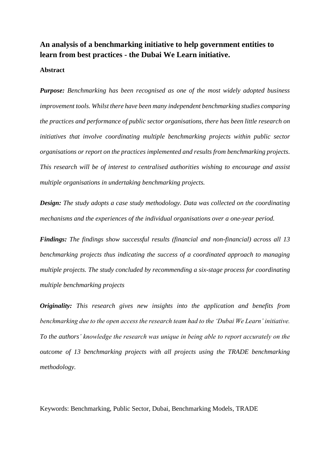# **An analysis of a benchmarking initiative to help government entities to learn from best practices - the Dubai We Learn initiative.**

# **Abstract**

*Purpose: Benchmarking has been recognised as one of the most widely adopted business improvement tools. Whilst there have been many independent benchmarking studies comparing the practices and performance of public sector organisations, there has been little research on initiatives that involve coordinating multiple benchmarking projects within public sector organisations or report on the practices implemented and results from benchmarking projects. This research will be of interest to centralised authorities wishing to encourage and assist multiple organisations in undertaking benchmarking projects.*

*Design: The study adopts a case study methodology. Data was collected on the coordinating mechanisms and the experiences of the individual organisations over a one-year period.*

*Findings: The findings show successful results (financial and non-financial) across all 13 benchmarking projects thus indicating the success of a coordinated approach to managing multiple projects. The study concluded by recommending a six-stage process for coordinating multiple benchmarking projects*

*Originality: This research gives new insights into the application and benefits from benchmarking due to the open access the research team had to the 'Dubai We Learn' initiative. To the authors' knowledge the research was unique in being able to report accurately on the outcome of 13 benchmarking projects with all projects using the TRADE benchmarking methodology.*

Keywords: Benchmarking, Public Sector, Dubai, Benchmarking Models, TRADE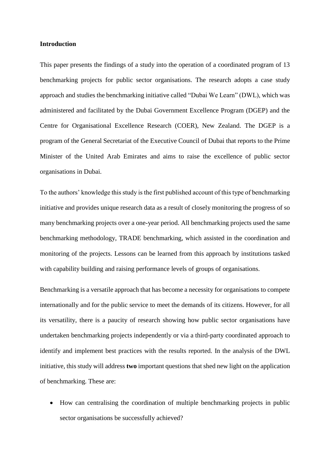# **Introduction**

This paper presents the findings of a study into the operation of a coordinated program of 13 benchmarking projects for public sector organisations. The research adopts a case study approach and studies the benchmarking initiative called "Dubai We Learn" (DWL), which was administered and facilitated by the Dubai Government Excellence Program (DGEP) and the Centre for Organisational Excellence Research (COER), New Zealand. The DGEP is a program of the General Secretariat of the Executive Council of Dubai that reports to the Prime Minister of the United Arab Emirates and aims to raise the excellence of public sector organisations in Dubai.

To the authors' knowledge this study is the first published account of this type of benchmarking initiative and provides unique research data as a result of closely monitoring the progress of so many benchmarking projects over a one-year period. All benchmarking projects used the same benchmarking methodology, TRADE benchmarking, which assisted in the coordination and monitoring of the projects. Lessons can be learned from this approach by institutions tasked with capability building and raising performance levels of groups of organisations.

Benchmarking is a versatile approach that has become a necessity for organisations to compete internationally and for the public service to meet the demands of its citizens. However, for all its versatility, there is a paucity of research showing how public sector organisations have undertaken benchmarking projects independently or via a third-party coordinated approach to identify and implement best practices with the results reported. In the analysis of the DWL initiative, this study will address **two** important questions that shed new light on the application of benchmarking. These are:

• How can centralising the coordination of multiple benchmarking projects in public sector organisations be successfully achieved?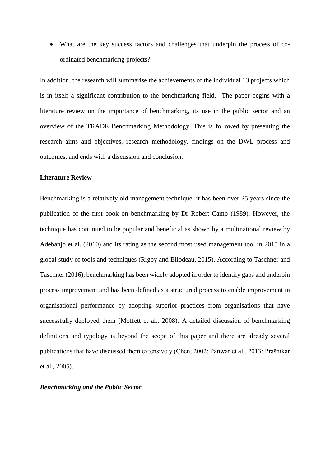• What are the key success factors and challenges that underpin the process of coordinated benchmarking projects?

In addition, the research will summarise the achievements of the individual 13 projects which is in itself a significant contribution to the benchmarking field. The paper begins with a literature review on the importance of benchmarking, its use in the public sector and an overview of the TRADE Benchmarking Methodology. This is followed by presenting the research aims and objectives, research methodology, findings on the DWL process and outcomes, and ends with a discussion and conclusion.

# **Literature Review**

Benchmarking is a relatively old management technique, it has been over 25 years since the publication of the first book on benchmarking by Dr Robert Camp (1989). However, the technique has continued to be popular and beneficial as shown by a multinational review by Adebanjo et al. (2010) and its rating as the second most used management tool in 2015 in a global study of tools and techniques (Rigby and Bilodeau, 2015). According to Taschner and Taschner (2016), benchmarking has been widely adopted in order to identify gaps and underpin process improvement and has been defined as a structured process to enable improvement in organisational performance by adopting superior practices from organisations that have successfully deployed them (Moffett et al., 2008). A detailed discussion of benchmarking definitions and typology is beyond the scope of this paper and there are already several publications that have discussed them extensively (Chen, 2002; Panwar et al., 2013; Prašnikar et al., 2005).

#### *Benchmarking and the Public Sector*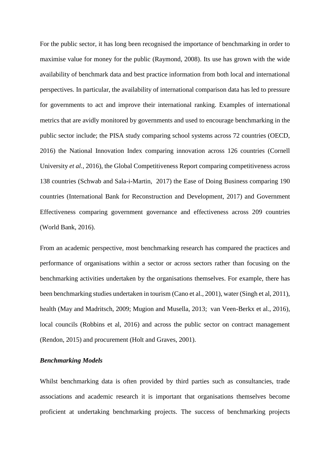For the public sector, it has long been recognised the importance of benchmarking in order to maximise value for money for the public (Raymond, 2008). Its use has grown with the wide availability of benchmark data and best practice information from both local and international perspectives. In particular, the availability of international comparison data has led to pressure for governments to act and improve their international ranking. Examples of international metrics that are avidly monitored by governments and used to encourage benchmarking in the public sector include; the PISA study comparing school systems across 72 countries (OECD, 2016) the National Innovation Index comparing innovation across 126 countries (Cornell University *et al.*, 2016), the Global Competitiveness Report comparing competitiveness across 138 countries (Schwab and Sala-i-Martin, 2017) the Ease of Doing Business comparing 190 countries (International Bank for Reconstruction and Development, 2017) and Government Effectiveness comparing government governance and effectiveness across 209 countries (World Bank, 2016).

From an academic perspective, most benchmarking research has compared the practices and performance of organisations within a sector or across sectors rather than focusing on the benchmarking activities undertaken by the organisations themselves. For example, there has been benchmarking studies undertaken in tourism (Cano et al., 2001), water (Singh et al, 2011), health (May and Madritsch, 2009; Mugion and Musella, 2013; van Veen-Berkx et al., 2016), local councils (Robbins et al, 2016) and across the public sector on contract management (Rendon, 2015) and procurement (Holt and Graves, 2001).

# *Benchmarking Models*

Whilst benchmarking data is often provided by third parties such as consultancies, trade associations and academic research it is important that organisations themselves become proficient at undertaking benchmarking projects. The success of benchmarking projects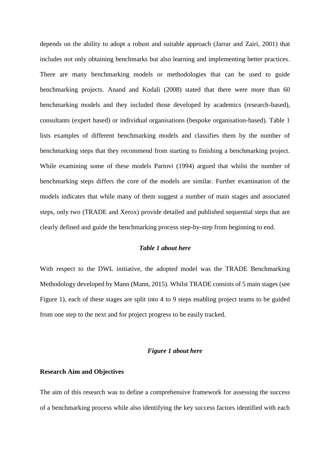depends on the ability to adopt a robust and suitable approach (Jarrar and Zairi, 2001) that includes not only obtaining benchmarks but also learning and implementing better practices. There are many benchmarking models or methodologies that can be used to guide benchmarking projects. Anand and Kodali (2008) stated that there were more than 60 benchmarking models and they included those developed by academics (research-based), consultants (expert based) or individual organisations (bespoke organisation-based). Table 1 lists examples of different benchmarking models and classifies them by the number of benchmarking steps that they recommend from starting to finishing a benchmarking project. While examining some of these models Partovi (1994) argued that whilst the number of benchmarking steps differs the core of the models are similar. Further examination of the models indicates that while many of them suggest a number of main stages and associated steps, only two (TRADE and Xerox) provide detailed and published sequential steps that are clearly defined and guide the benchmarking process step-by-step from beginning to end.

# *Table 1 about here*

With respect to the DWL initiative, the adopted model was the TRADE Benchmarking Methodology developed by Mann (Mann, 2015). Whilst TRADE consists of 5 main stages (see Figure 1), each of these stages are split into 4 to 9 steps enabling project teams to be guided from one step to the next and for project progress to be easily tracked.

# *Figure 1 about here*

# **Research Aim and Objectives**

The aim of this research was to define a comprehensive framework for assessing the success of a benchmarking process while also identifying the key success factors identified with each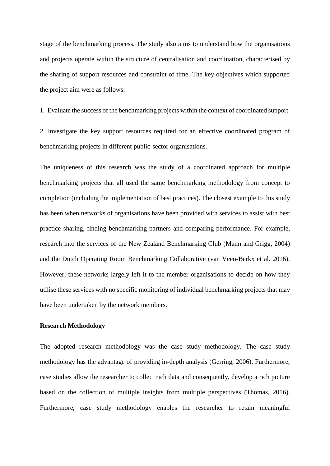stage of the benchmarking process. The study also aims to understand how the organisations and projects operate within the structure of centralisation and coordination, characterised by the sharing of support resources and constraint of time. The key objectives which supported the project aim were as follows:

1. Evaluate the success of the benchmarking projects within the context of coordinated support.

2. Investigate the key support resources required for an effective coordinated program of benchmarking projects in different public-sector organisations.

The uniqueness of this research was the study of a coordinated approach for multiple benchmarking projects that all used the same benchmarking methodology from concept to completion (including the implementation of best practices). The closest example to this study has been when networks of organisations have been provided with services to assist with best practice sharing, finding benchmarking partners and comparing performance. For example, research into the services of the New Zealand Benchmarking Club (Mann and Grigg, 2004) and the Dutch Operating Room Benchmarking Collaborative (van Veen-Berkx et al. 2016). However, these networks largely left it to the member organisations to decide on how they utilise these services with no specific monitoring of individual benchmarking projects that may have been undertaken by the network members.

# **Research Methodology**

The adopted research methodology was the case study methodology. The case study methodology has the advantage of providing in-depth analysis (Gerring, 2006). Furthermore, case studies allow the researcher to collect rich data and consequently, develop a rich picture based on the collection of multiple insights from multiple perspectives (Thomas, 2016). Furthermore, case study methodology enables the researcher to retain meaningful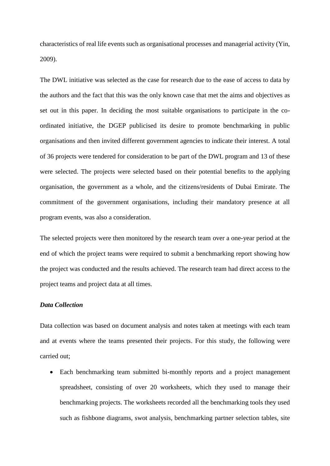characteristics of real life events such as organisational processes and managerial activity (Yin, 2009).

The DWL initiative was selected as the case for research due to the ease of access to data by the authors and the fact that this was the only known case that met the aims and objectives as set out in this paper. In deciding the most suitable organisations to participate in the coordinated initiative, the DGEP publicised its desire to promote benchmarking in public organisations and then invited different government agencies to indicate their interest. A total of 36 projects were tendered for consideration to be part of the DWL program and 13 of these were selected. The projects were selected based on their potential benefits to the applying organisation, the government as a whole, and the citizens/residents of Dubai Emirate. The commitment of the government organisations, including their mandatory presence at all program events, was also a consideration.

The selected projects were then monitored by the research team over a one-year period at the end of which the project teams were required to submit a benchmarking report showing how the project was conducted and the results achieved. The research team had direct access to the project teams and project data at all times.

# *Data Collection*

Data collection was based on document analysis and notes taken at meetings with each team and at events where the teams presented their projects. For this study, the following were carried out;

• Each benchmarking team submitted bi-monthly reports and a project management spreadsheet, consisting of over 20 worksheets, which they used to manage their benchmarking projects. The worksheets recorded all the benchmarking tools they used such as fishbone diagrams, swot analysis, benchmarking partner selection tables, site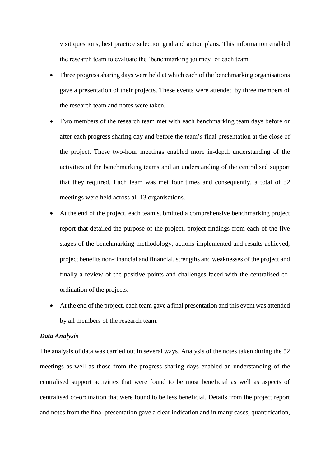visit questions, best practice selection grid and action plans. This information enabled the research team to evaluate the 'benchmarking journey' of each team.

- Three progress sharing days were held at which each of the benchmarking organisations gave a presentation of their projects. These events were attended by three members of the research team and notes were taken.
- Two members of the research team met with each benchmarking team days before or after each progress sharing day and before the team's final presentation at the close of the project. These two-hour meetings enabled more in-depth understanding of the activities of the benchmarking teams and an understanding of the centralised support that they required. Each team was met four times and consequently, a total of 52 meetings were held across all 13 organisations.
- At the end of the project, each team submitted a comprehensive benchmarking project report that detailed the purpose of the project, project findings from each of the five stages of the benchmarking methodology, actions implemented and results achieved, project benefits non-financial and financial, strengths and weaknesses of the project and finally a review of the positive points and challenges faced with the centralised coordination of the projects.
- At the end of the project, each team gave a final presentation and this event was attended by all members of the research team.

# *Data Analysis*

The analysis of data was carried out in several ways. Analysis of the notes taken during the 52 meetings as well as those from the progress sharing days enabled an understanding of the centralised support activities that were found to be most beneficial as well as aspects of centralised co-ordination that were found to be less beneficial. Details from the project report and notes from the final presentation gave a clear indication and in many cases, quantification,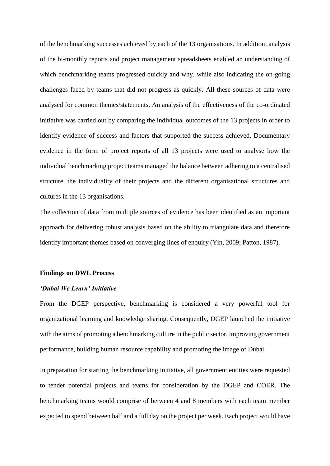of the benchmarking successes achieved by each of the 13 organisations. In addition, analysis of the bi-monthly reports and project management spreadsheets enabled an understanding of which benchmarking teams progressed quickly and why, while also indicating the on-going challenges faced by teams that did not progress as quickly. All these sources of data were analysed for common themes/statements. An analysis of the effectiveness of the co-ordinated initiative was carried out by comparing the individual outcomes of the 13 projects in order to identify evidence of success and factors that supported the success achieved. Documentary evidence in the form of project reports of all 13 projects were used to analyse how the individual benchmarking project teams managed the balance between adhering to a centralised structure, the individuality of their projects and the different organisational structures and cultures in the 13 organisations.

The collection of data from multiple sources of evidence has been identified as an important approach for delivering robust analysis based on the ability to triangulate data and therefore identify important themes based on converging lines of enquiry (Yin, 2009; Patton, 1987).

#### **Findings on DWL Process**

## *'Dubai We Learn' Initiative*

From the DGEP perspective, benchmarking is considered a very powerful tool for organizational learning and knowledge sharing. Consequently, DGEP launched the initiative with the aims of promoting a benchmarking culture in the public sector, improving government performance, building human resource capability and promoting the image of Dubai.

In preparation for starting the benchmarking initiative, all government entities were requested to tender potential projects and teams for consideration by the DGEP and COER. The benchmarking teams would comprise of between 4 and 8 members with each team member expected to spend between half and a full day on the project per week. Each project would have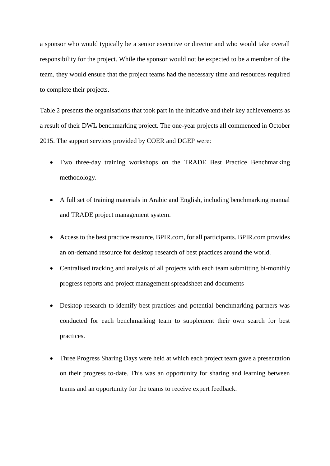a sponsor who would typically be a senior executive or director and who would take overall responsibility for the project. While the sponsor would not be expected to be a member of the team, they would ensure that the project teams had the necessary time and resources required to complete their projects.

Table 2 presents the organisations that took part in the initiative and their key achievements as a result of their DWL benchmarking project. The one-year projects all commenced in October 2015. The support services provided by COER and DGEP were:

- Two three-day training workshops on the TRADE Best Practice Benchmarking methodology.
- A full set of training materials in Arabic and English, including benchmarking manual and TRADE project management system.
- Access to the best practice resource, BPIR.com, for all participants. BPIR.com provides an on-demand resource for desktop research of best practices around the world.
- Centralised tracking and analysis of all projects with each team submitting bi-monthly progress reports and project management spreadsheet and documents
- Desktop research to identify best practices and potential benchmarking partners was conducted for each benchmarking team to supplement their own search for best practices.
- Three Progress Sharing Days were held at which each project team gave a presentation on their progress to-date. This was an opportunity for sharing and learning between teams and an opportunity for the teams to receive expert feedback.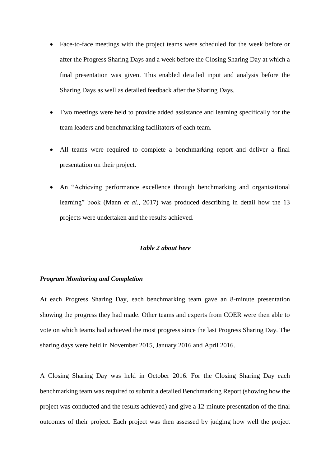- Face-to-face meetings with the project teams were scheduled for the week before or after the Progress Sharing Days and a week before the Closing Sharing Day at which a final presentation was given. This enabled detailed input and analysis before the Sharing Days as well as detailed feedback after the Sharing Days.
- Two meetings were held to provide added assistance and learning specifically for the team leaders and benchmarking facilitators of each team.
- All teams were required to complete a benchmarking report and deliver a final presentation on their project.
- An "Achieving performance excellence through benchmarking and organisational learning" book (Mann *et al.*, 2017) was produced describing in detail how the 13 projects were undertaken and the results achieved.

# *Table 2 about here*

## *Program Monitoring and Completion*

At each Progress Sharing Day, each benchmarking team gave an 8-minute presentation showing the progress they had made. Other teams and experts from COER were then able to vote on which teams had achieved the most progress since the last Progress Sharing Day. The sharing days were held in November 2015, January 2016 and April 2016.

A Closing Sharing Day was held in October 2016. For the Closing Sharing Day each benchmarking team was required to submit a detailed Benchmarking Report (showing how the project was conducted and the results achieved) and give a 12-minute presentation of the final outcomes of their project. Each project was then assessed by judging how well the project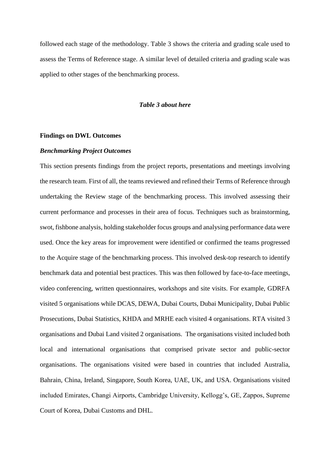followed each stage of the methodology. Table 3 shows the criteria and grading scale used to assess the Terms of Reference stage. A similar level of detailed criteria and grading scale was applied to other stages of the benchmarking process.

## *Table 3 about here*

## **Findings on DWL Outcomes**

#### *Benchmarking Project Outcomes*

This section presents findings from the project reports, presentations and meetings involving the research team. First of all, the teams reviewed and refined their Terms of Reference through undertaking the Review stage of the benchmarking process. This involved assessing their current performance and processes in their area of focus. Techniques such as brainstorming, swot, fishbone analysis, holding stakeholder focus groups and analysing performance data were used. Once the key areas for improvement were identified or confirmed the teams progressed to the Acquire stage of the benchmarking process. This involved desk-top research to identify benchmark data and potential best practices. This was then followed by face-to-face meetings, video conferencing, written questionnaires, workshops and site visits. For example, GDRFA visited 5 organisations while DCAS, DEWA, Dubai Courts, Dubai Municipality, Dubai Public Prosecutions, Dubai Statistics, KHDA and MRHE each visited 4 organisations. RTA visited 3 organisations and Dubai Land visited 2 organisations. The organisations visited included both local and international organisations that comprised private sector and public-sector organisations. The organisations visited were based in countries that included Australia, Bahrain, China, Ireland, Singapore, South Korea, UAE, UK, and USA. Organisations visited included Emirates, Changi Airports, Cambridge University, Kellogg's, GE, Zappos, Supreme Court of Korea, Dubai Customs and DHL.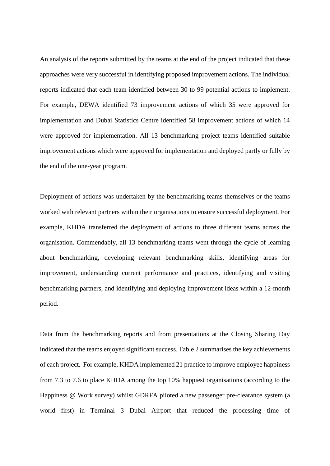An analysis of the reports submitted by the teams at the end of the project indicated that these approaches were very successful in identifying proposed improvement actions. The individual reports indicated that each team identified between 30 to 99 potential actions to implement. For example, DEWA identified 73 improvement actions of which 35 were approved for implementation and Dubai Statistics Centre identified 58 improvement actions of which 14 were approved for implementation. All 13 benchmarking project teams identified suitable improvement actions which were approved for implementation and deployed partly or fully by the end of the one-year program.

Deployment of actions was undertaken by the benchmarking teams themselves or the teams worked with relevant partners within their organisations to ensure successful deployment. For example, KHDA transferred the deployment of actions to three different teams across the organisation. Commendably, all 13 benchmarking teams went through the cycle of learning about benchmarking, developing relevant benchmarking skills, identifying areas for improvement, understanding current performance and practices, identifying and visiting benchmarking partners, and identifying and deploying improvement ideas within a 12-month period.

Data from the benchmarking reports and from presentations at the Closing Sharing Day indicated that the teams enjoyed significant success. Table 2 summarises the key achievements of each project. For example, KHDA implemented 21 practice to improve employee happiness from 7.3 to 7.6 to place KHDA among the top 10% happiest organisations (according to the Happiness @ Work survey) whilst GDRFA piloted a new passenger pre-clearance system (a world first) in Terminal 3 Dubai Airport that reduced the processing time of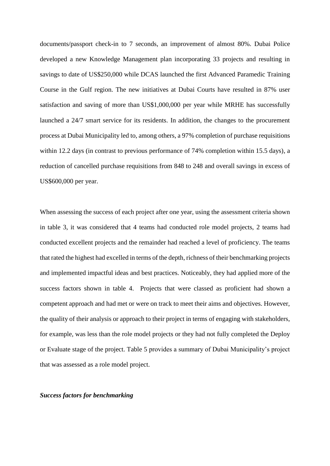documents/passport check-in to 7 seconds, an improvement of almost 80%. Dubai Police developed a new Knowledge Management plan incorporating 33 projects and resulting in savings to date of US\$250,000 while DCAS launched the first Advanced Paramedic Training Course in the Gulf region. The new initiatives at Dubai Courts have resulted in 87% user satisfaction and saving of more than US\$1,000,000 per year while MRHE has successfully launched a 24/7 smart service for its residents. In addition, the changes to the procurement process at Dubai Municipality led to, among others, a 97% completion of purchase requisitions within 12.2 days (in contrast to previous performance of 74% completion within 15.5 days), a reduction of cancelled purchase requisitions from 848 to 248 and overall savings in excess of US\$600,000 per year.

When assessing the success of each project after one year, using the assessment criteria shown in table 3, it was considered that 4 teams had conducted role model projects, 2 teams had conducted excellent projects and the remainder had reached a level of proficiency. The teams that rated the highest had excelled in terms of the depth, richness of their benchmarking projects and implemented impactful ideas and best practices. Noticeably, they had applied more of the success factors shown in table 4. Projects that were classed as proficient had shown a competent approach and had met or were on track to meet their aims and objectives. However, the quality of their analysis or approach to their project in terms of engaging with stakeholders, for example, was less than the role model projects or they had not fully completed the Deploy or Evaluate stage of the project. Table 5 provides a summary of Dubai Municipality's project that was assessed as a role model project.

# *Success factors for benchmarking*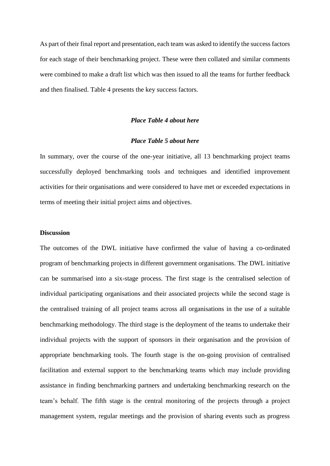As part of their final report and presentation, each team was asked to identify the success factors for each stage of their benchmarking project. These were then collated and similar comments were combined to make a draft list which was then issued to all the teams for further feedback and then finalised. Table 4 presents the key success factors.

# *Place Table 4 about here*

# *Place Table 5 about here*

In summary, over the course of the one-year initiative, all 13 benchmarking project teams successfully deployed benchmarking tools and techniques and identified improvement activities for their organisations and were considered to have met or exceeded expectations in terms of meeting their initial project aims and objectives.

#### **Discussion**

The outcomes of the DWL initiative have confirmed the value of having a co-ordinated program of benchmarking projects in different government organisations. The DWL initiative can be summarised into a six-stage process. The first stage is the centralised selection of individual participating organisations and their associated projects while the second stage is the centralised training of all project teams across all organisations in the use of a suitable benchmarking methodology. The third stage is the deployment of the teams to undertake their individual projects with the support of sponsors in their organisation and the provision of appropriate benchmarking tools. The fourth stage is the on-going provision of centralised facilitation and external support to the benchmarking teams which may include providing assistance in finding benchmarking partners and undertaking benchmarking research on the team's behalf. The fifth stage is the central monitoring of the projects through a project management system, regular meetings and the provision of sharing events such as progress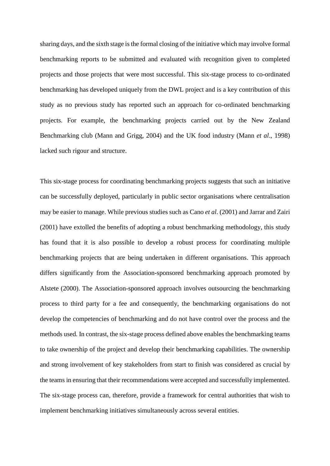sharing days, and the sixth stage is the formal closing of the initiative which may involve formal benchmarking reports to be submitted and evaluated with recognition given to completed projects and those projects that were most successful. This six-stage process to co-ordinated benchmarking has developed uniquely from the DWL project and is a key contribution of this study as no previous study has reported such an approach for co-ordinated benchmarking projects. For example, the benchmarking projects carried out by the New Zealand Benchmarking club (Mann and Grigg, 2004) and the UK food industry (Mann *et al*., 1998) lacked such rigour and structure.

This six-stage process for coordinating benchmarking projects suggests that such an initiative can be successfully deployed, particularly in public sector organisations where centralisation may be easier to manage. While previous studies such as Cano *et al*. (2001) and Jarrar and Zairi (2001) have extolled the benefits of adopting a robust benchmarking methodology, this study has found that it is also possible to develop a robust process for coordinating multiple benchmarking projects that are being undertaken in different organisations. This approach differs significantly from the Association-sponsored benchmarking approach promoted by Alstete (2000). The Association-sponsored approach involves outsourcing the benchmarking process to third party for a fee and consequently, the benchmarking organisations do not develop the competencies of benchmarking and do not have control over the process and the methods used. In contrast, the six-stage process defined above enables the benchmarking teams to take ownership of the project and develop their benchmarking capabilities. The ownership and strong involvement of key stakeholders from start to finish was considered as crucial by the teams in ensuring that their recommendations were accepted and successfully implemented. The six-stage process can, therefore, provide a framework for central authorities that wish to implement benchmarking initiatives simultaneously across several entities.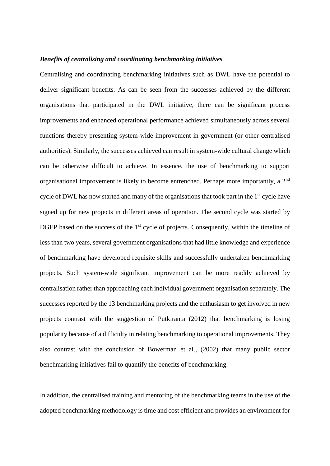#### *Benefits of centralising and coordinating benchmarking initiatives*

Centralising and coordinating benchmarking initiatives such as DWL have the potential to deliver significant benefits. As can be seen from the successes achieved by the different organisations that participated in the DWL initiative, there can be significant process improvements and enhanced operational performance achieved simultaneously across several functions thereby presenting system-wide improvement in government (or other centralised authorities). Similarly, the successes achieved can result in system-wide cultural change which can be otherwise difficult to achieve. In essence, the use of benchmarking to support organisational improvement is likely to become entrenched. Perhaps more importantly, a 2<sup>nd</sup> cycle of DWL has now started and many of the organisations that took part in the 1<sup>st</sup> cycle have signed up for new projects in different areas of operation. The second cycle was started by DGEP based on the success of the  $1<sup>st</sup>$  cycle of projects. Consequently, within the timeline of less than two years, several government organisations that had little knowledge and experience of benchmarking have developed requisite skills and successfully undertaken benchmarking projects. Such system-wide significant improvement can be more readily achieved by centralisation rather than approaching each individual government organisation separately. The successes reported by the 13 benchmarking projects and the enthusiasm to get involved in new projects contrast with the suggestion of Putkiranta (2012) that benchmarking is losing popularity because of a difficulty in relating benchmarking to operational improvements. They also contrast with the conclusion of Bowerman et al., (2002) that many public sector benchmarking initiatives fail to quantify the benefits of benchmarking.

In addition, the centralised training and mentoring of the benchmarking teams in the use of the adopted benchmarking methodology is time and cost efficient and provides an environment for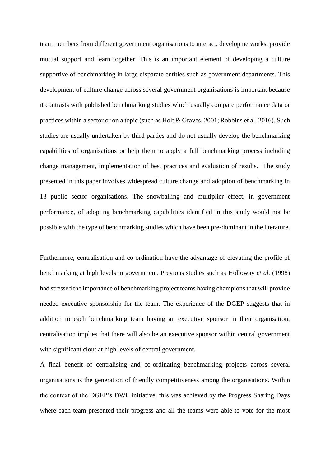team members from different government organisations to interact, develop networks, provide mutual support and learn together. This is an important element of developing a culture supportive of benchmarking in large disparate entities such as government departments. This development of culture change across several government organisations is important because it contrasts with published benchmarking studies which usually compare performance data or practices within a sector or on a topic (such as Holt & Graves, 2001; Robbins et al, 2016). Such studies are usually undertaken by third parties and do not usually develop the benchmarking capabilities of organisations or help them to apply a full benchmarking process including change management, implementation of best practices and evaluation of results. The study presented in this paper involves widespread culture change and adoption of benchmarking in 13 public sector organisations. The snowballing and multiplier effect, in government performance, of adopting benchmarking capabilities identified in this study would not be possible with the type of benchmarking studies which have been pre-dominant in the literature.

Furthermore, centralisation and co-ordination have the advantage of elevating the profile of benchmarking at high levels in government. Previous studies such as Holloway *et al.* (1998) had stressed the importance of benchmarking project teams having champions that will provide needed executive sponsorship for the team. The experience of the DGEP suggests that in addition to each benchmarking team having an executive sponsor in their organisation, centralisation implies that there will also be an executive sponsor within central government with significant clout at high levels of central government.

A final benefit of centralising and co-ordinating benchmarking projects across several organisations is the generation of friendly competitiveness among the organisations. Within the context of the DGEP's DWL initiative, this was achieved by the Progress Sharing Days where each team presented their progress and all the teams were able to vote for the most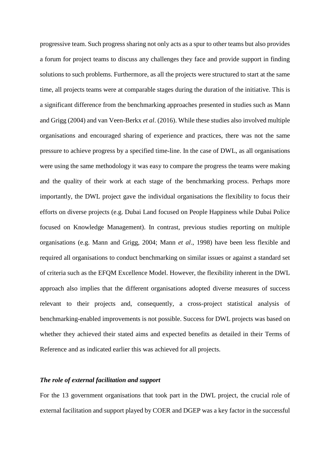progressive team. Such progress sharing not only acts as a spur to other teams but also provides a forum for project teams to discuss any challenges they face and provide support in finding solutions to such problems. Furthermore, as all the projects were structured to start at the same time, all projects teams were at comparable stages during the duration of the initiative. This is a significant difference from the benchmarking approaches presented in studies such as Mann and Grigg (2004) and van Veen-Berkx *et al*. (2016). While these studies also involved multiple organisations and encouraged sharing of experience and practices, there was not the same pressure to achieve progress by a specified time-line. In the case of DWL, as all organisations were using the same methodology it was easy to compare the progress the teams were making and the quality of their work at each stage of the benchmarking process. Perhaps more importantly, the DWL project gave the individual organisations the flexibility to focus their efforts on diverse projects (e.g. Dubai Land focused on People Happiness while Dubai Police focused on Knowledge Management). In contrast, previous studies reporting on multiple organisations (e.g. Mann and Grigg, 2004; Mann *et al*., 1998) have been less flexible and required all organisations to conduct benchmarking on similar issues or against a standard set of criteria such as the EFQM Excellence Model. However, the flexibility inherent in the DWL approach also implies that the different organisations adopted diverse measures of success relevant to their projects and, consequently, a cross-project statistical analysis of benchmarking-enabled improvements is not possible. Success for DWL projects was based on whether they achieved their stated aims and expected benefits as detailed in their Terms of Reference and as indicated earlier this was achieved for all projects.

# *The role of external facilitation and support*

For the 13 government organisations that took part in the DWL project, the crucial role of external facilitation and support played by COER and DGEP was a key factor in the successful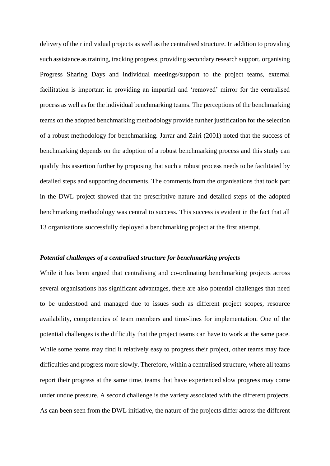delivery of their individual projects as well as the centralised structure. In addition to providing such assistance as training, tracking progress, providing secondary research support, organising Progress Sharing Days and individual meetings/support to the project teams, external facilitation is important in providing an impartial and 'removed' mirror for the centralised process as well as for the individual benchmarking teams. The perceptions of the benchmarking teams on the adopted benchmarking methodology provide further justification for the selection of a robust methodology for benchmarking. Jarrar and Zairi (2001) noted that the success of benchmarking depends on the adoption of a robust benchmarking process and this study can qualify this assertion further by proposing that such a robust process needs to be facilitated by detailed steps and supporting documents. The comments from the organisations that took part in the DWL project showed that the prescriptive nature and detailed steps of the adopted benchmarking methodology was central to success. This success is evident in the fact that all 13 organisations successfully deployed a benchmarking project at the first attempt.

## *Potential challenges of a centralised structure for benchmarking projects*

While it has been argued that centralising and co-ordinating benchmarking projects across several organisations has significant advantages, there are also potential challenges that need to be understood and managed due to issues such as different project scopes, resource availability, competencies of team members and time-lines for implementation. One of the potential challenges is the difficulty that the project teams can have to work at the same pace. While some teams may find it relatively easy to progress their project, other teams may face difficulties and progress more slowly. Therefore, within a centralised structure, where all teams report their progress at the same time, teams that have experienced slow progress may come under undue pressure. A second challenge is the variety associated with the different projects. As can been seen from the DWL initiative, the nature of the projects differ across the different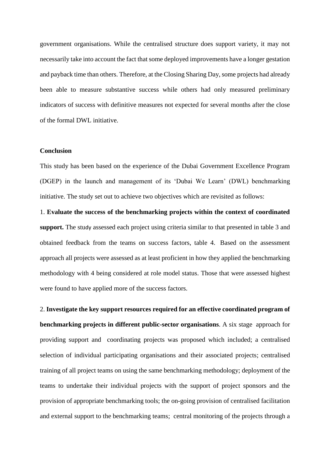government organisations. While the centralised structure does support variety, it may not necessarily take into account the fact that some deployed improvements have a longer gestation and payback time than others. Therefore, at the Closing Sharing Day, some projects had already been able to measure substantive success while others had only measured preliminary indicators of success with definitive measures not expected for several months after the close of the formal DWL initiative.

# **Conclusion**

This study has been based on the experience of the Dubai Government Excellence Program (DGEP) in the launch and management of its 'Dubai We Learn' (DWL) benchmarking initiative. The study set out to achieve two objectives which are revisited as follows:

1. **Evaluate the success of the benchmarking projects within the context of coordinated support.** The study assessed each project using criteria similar to that presented in table 3 and obtained feedback from the teams on success factors, table 4. Based on the assessment approach all projects were assessed as at least proficient in how they applied the benchmarking methodology with 4 being considered at role model status. Those that were assessed highest were found to have applied more of the success factors.

2. **Investigate the key support resources required for an effective coordinated program of benchmarking projects in different public-sector organisations**. A six stage approach for providing support and coordinating projects was proposed which included; a centralised selection of individual participating organisations and their associated projects; centralised training of all project teams on using the same benchmarking methodology; deployment of the teams to undertake their individual projects with the support of project sponsors and the provision of appropriate benchmarking tools; the on-going provision of centralised facilitation and external support to the benchmarking teams; central monitoring of the projects through a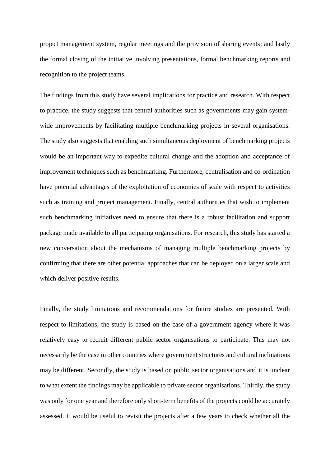project management system, regular meetings and the provision of sharing events; and lastly the formal closing of the initiative involving presentations, formal benchmarking reports and recognition to the project teams.

The findings from this study have several implications for practice and research. With respect to practice, the study suggests that central authorities such as governments may gain systemwide improvements by facilitating multiple benchmarking projects in several organisations. The study also suggests that enabling such simultaneous deployment of benchmarking projects would be an important way to expedite cultural change and the adoption and acceptance of improvement techniques such as benchmarking. Furthermore, centralisation and co-ordination have potential advantages of the exploitation of economies of scale with respect to activities such as training and project management. Finally, central authorities that wish to implement such benchmarking initiatives need to ensure that there is a robust facilitation and support package made available to all participating organisations. For research, this study has started a new conversation about the mechanisms of managing multiple benchmarking projects by confirming that there are other potential approaches that can be deployed on a larger scale and which deliver positive results.

Finally, the study limitations and recommendations for future studies are presented. With respect to limitations, the study is based on the case of a government agency where it was relatively easy to recruit different public sector organisations to participate. This may not necessarily be the case in other countries where government structures and cultural inclinations may be different. Secondly, the study is based on public sector organisations and it is unclear to what extent the findings may be applicable to private sector organisations. Thirdly, the study was only for one year and therefore only short-term benefits of the projects could be accurately assessed. It would be useful to revisit the projects after a few years to check whether all the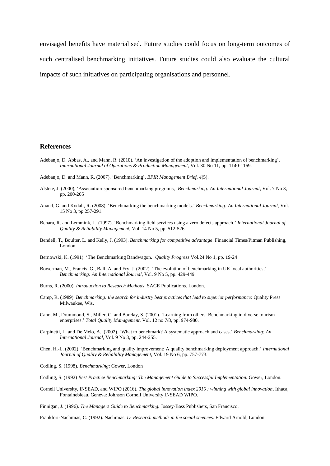envisaged benefits have materialised. Future studies could focus on long-term outcomes of such centralised benchmarking initiatives. Future studies could also evaluate the cultural impacts of such initiatives on participating organisations and personnel.

## **References**

- Adebanjo, D. Abbas, A., and Mann, R. (2010). 'An investigation of the adoption and implementation of benchmarking'. *International Journal of Operations & Production Management,* Vol. 30 No 11, pp. 1140-1169.
- Adebanjo, D. and Mann, R. (2007). 'Benchmarking'. *BPIR Management Brief, 4*(5).
- Alstete, J. (2000), 'Association‐sponsored benchmarking programs,' *Benchmarking: An International Journal*, Vol. 7 No 3, pp. 200-205
- Anand, G. and Kodali, R. (2008). 'Benchmarking the benchmarking models.' *Benchmarking: An International Journal,* Vol. 15 No 3, pp 257-291.
- Behara, R. and Lemmink, J. (1997). 'Benchmarking field services using a zero defects approach.' *International Journal of Quality & Reliability Management,* Vol. 14 No 5, pp. 512-526.
- Bendell, T., Boulter, L. and Kelly, J. (1993). *Benchmarking for competitive advantage*. Financial Times/Pitman Publishing, London
- Bernowski, K. (1991). 'The Benchmarking Bandwagon.' *Quality Progress* Vol.24 No 1, pp. 19-24
- Bowerman, M., Francis, G., Ball, A. and Fry, J. (2002). 'The evolution of benchmarking in UK local authorities,' *Benchmarking: An International Journal*, Vol. 9 No 5, pp. 429-449
- Burns, R. (2000). *Introduction to Research Methods*: SAGE Publications. London.
- Camp, R. (1989). *Benchmarking: the search for industry best practices that lead to superior performance*: Quality Press Milwaukee, Wis.
- Cano, M., Drummond, S., Miller, C. and Barclay, S. (2001). 'Learning from others: Benchmarking in diverse tourism enterprises.' *Total Quality Management,* Vol. 12 no 7/8, pp. 974-980.
- Carpinetti, L, and De Melo, A. (2002). 'What to benchmark? A systematic approach and cases.' *Benchmarking: An International Journal,* Vol. 9 No 3, pp. 244-255.
- Chen, H.-L. (2002). 'Benchmarking and quality improvement: A quality benchmarking deployment approach.' *International Journal of Quality & Reliability Management,* Vol. 19 No 6, pp. 757-773.
- Codling, S. (1998). *Benchmarking*: Gower, London
- Codling, S. (1992) *Best Practice Benchmarking: The Management Guide to Successful Implementation*. Gower, London.
- Cornell University, INSEAD, and WIPO (2016). *The global innovation index 2016 : winning with global innovation*. Ithaca, Fontainebleau, Geneva: Johnson Cornell University INSEAD WIPO.

Finnigan, J. (1996). *The Managers Guide to Benchmarking.* Jossey-Bass Publishers, San Francisco.

Frankfort-Nachmias, C. (1992). Nachmias. *D. Research methods in the social sciences.* Edward Arnold, London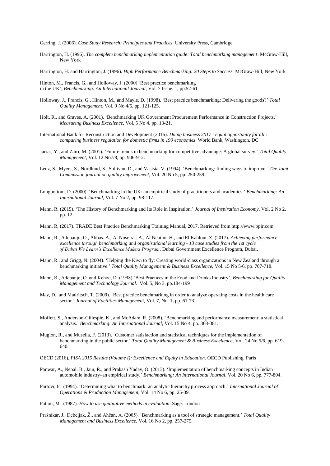Gerring, J. (2006). *Case Study Research: Principles and Practices*. University Press, Cambridge

Harrington, H. (1996). *The complete benchmarking implementation guide: Total benchmarking management*: McGraw-Hill, New York

Harrington, H. and Harrington, J. (1996). *High Performance Benchmarking: 20 Steps to Success.* McGraw-Hill, New York*.*

Hinton, M., Francis, G., and Holloway, J. (2000) 'Best practice benchmarking in the UK', *Benchmarking: An International Journal*, Vol. 7 Issue: 1, pp.52-61

- Holloway, J., Francis, G., Hinton, M., and Mayle, D. (1998). 'Best practice benchmarking: Delivering the goods?' *Total Quality Management,* Vol. 9 No 4/5, pp. 121-125.
- Holt, R., and Graves, A. (2001). 'Benchmarking UK Government Procurement Performance in Construction Projects.' *Measuring Business Excellence,* Vol. 5 No 4, pp. 13-21.

International Bank for Reconstruction and Development (2016). *Doing business 2017 : equal opportunity for all : comparing business regulation for domestic firms in 190 economies*. World Bank, Washington, DC

- Jarrar, Y., and Zairi, M. (2001). 'Future trends in benchmarking for competitive advantage: A global survey.' *Total Quality Management,* Vol. 12 No7/8, pp. 906-912.
- Lenz, S., Myers, S., Nordlund, S., Sullivan, D., and Vasista, V. (1994). 'Benchmarking: finding ways to improve*.' The Joint Commission journal on quality improvement*, Vol. 20 No 5, pp. 250-259.
- Longbottom, D. (2000). 'Benchmarking in the UK: an empirical study of practitioners and academics.' *Benchmarking: An International Journal,* Vol. 7 No 2, pp. 98-117.
- Mann, R. (2015). 'The History of Benchmarking and Its Role in Inspiration.' *Journal of Inspiration Economy,* Vol. 2 No 2, pp. 12.
- Mann, R, (2017). TRADE Best Practice Benchmarking Training Manual, 2017. Retrieved from http://www.bpir.com
- Mann, R., Adebanjo, O., Abbas. A., Al Nuseirat. A., Al Neaimi. H., and El Kahlout. Z. (2017). *Achieving performance excellence through benchmarking and organisational learning - 13 case studies from the 1st cycle of Dubai We Learn's Excellence Makers Program.* Dubai Government Excellence Program, Dubai.
- Mann, R., and Grigg, N. (2004). 'Helping the Kiwi to fly: Creating world-class organizations in New Zealand through a benchmarking initiative.' *Total Quality Management & Business Excellence,* Vol. 15 No 5/6, pp. 707-718.
- Mann, R., Adebanjo, O. and Kehoe, D. (1998) 'Best Practices in the Food and Drinks Industry', *Benchmarking for Quality Management and Technology Journal.* Vol. 5, No 3. pp.184-199
- May, D., and Madritsch, T. (2009). 'Best practice benchmarking in order to analyze operating costs in the health care sector.' *Journal of Facilities Management,* Vol. 7, No. 1, pp. 61-73.
- Moffett, S., Anderson-Gillespie, K., and McAdam, R. (2008). 'Benchmarking and performance measurement: a statistical analysis.' *Benchmarking: An International Journal,* Vol. 15 No 4, pp. 368-381.
- Mugion, R., and Musella, F. (2013). 'Customer satisfaction and statistical techniques for the implementation of benchmarking in the public sector.' *Total Quality Management & Business Excellence,* Vol. 24 No 5/6, pp. 619- 640.
- OECD (2016), *PISA 2015 Results (Volume I): Excellence and Equity in Education*. OECD Publishing. Paris
- Panwar, A., Nepal, B., Jain, R., and Prakash Yadav, O. (2013). 'Implementation of benchmarking concepts in Indian automobile industry–an empirical study.' *Benchmarking: An International Journal,* Vol. 20 No 6, pp. 777-804.
- Partovi, F. (1994). 'Determining what to benchmark: an analytic hierarchy process approach.' *International Journal of Operations & Production Management,* Vol. 14 No 6, pp. 25-39.
- Patton, M. (1987). *How to use qualitative methods in evaluation*: Sage. London
- Prašnikar, J., Debeljak, Ž., and Ahčan, A. (2005). 'Benchmarking as a tool of strategic management.' *Total Quality Management and Business Excellence,* Vol. 16 No 2, pp. 257-275.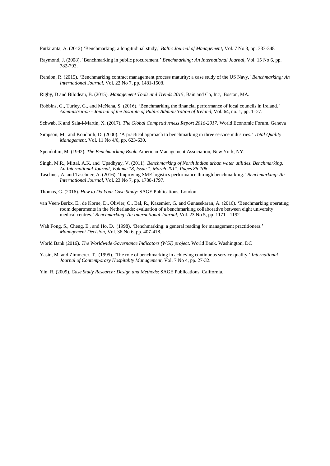Putkiranta, A. (2012) 'Benchmarking: a longitudinal study,' *Baltic Journal of Management*, Vol. 7 No 3, pp. 333-348

- Raymond, J. (2008). 'Benchmarking in public procurement.' *Benchmarking: An International Journal,* Vol. 15 No 6, pp. 782-793.
- Rendon, R. (2015). 'Benchmarking contract management process maturity: a case study of the US Navy.' *Benchmarking: An International Journal,* Vol. 22 No 7, pp. 1481-1508.

Rigby, D and Bilodeau, B. (2015). *Management Tools and Trends 2015*, Bain and Co, Inc, Boston, MA.

- Robbins, G., Turley, G., and McNena, S. (2016). 'Benchmarking the financial performance of local councils in Ireland.' *Administration - Journal of the Institute of Public Administration of Ireland,* Vol. 64, no. 1, pp. 1–27.
- Schwab, K and Sala-i-Martin, X. (2017). *The Global Competitiveness Report 2016-2017*. World Economic Forum. Geneva
- Simpson, M., and Kondouli, D. (2000). 'A practical approach to benchmarking in three service industries.' *Total Quality Management,* Vol. 11 No 4/6, pp. 623-630.

Spendolini, M. (1992). *The Benchmarking Book*. American Management Association, New York, NY.

- Singh, M.R., Mittal, A.K. and Upadhyay, V. (2011). *Benchmarking of North Indian urban water utilities[. Benchmarking:](https://www-scopus-com.ezproxy.massey.ac.nz/sourceid/20793?origin=recordpage) An International Journal, Volume 18, Issue 1, March 2011, Pages 86-106*
- Taschner, A. and Taschner, A. (2016). 'Improving SME logistics performance through benchmarking.' *Benchmarking: An International Journal,* Vol. 23 No 7, pp. 1780-1797.
- Thomas, G. (2016). *How to Do Your Case Study*: SAGE Publications, London
- van Veen-Berkx, E., de Korne, D., Olivier, O., Bal, R., Kazemier, G. and Gunasekaran, A. (2016). 'Benchmarking operating room departments in the Netherlands: evaluation of a benchmarking collaborative between eight university medical centres.' *Benchmarking: An International Journal,* Vol. 23 No 5, pp. 1171 - 1192
- Wah Fong, S., Cheng, E., and Ho, D. (1998). 'Benchmarking: a general reading for management practitioners.' *Management Decision,* Vol. 36 No 6, pp. 407-418.

World Bank (2016). *The Worldwide Governance Indicators (WGI) project*. World Bank. Washington, DC

Yasin, M. and Zimmerer, T. (1995). 'The role of benchmarking in achieving continuous service quality.' *International Journal of Contemporary Hospitality Management,* Vol. 7 No 4, pp. 27-32.

Yin, R. (2009). *Case Study Research: Design and Methods*: SAGE Publications, California.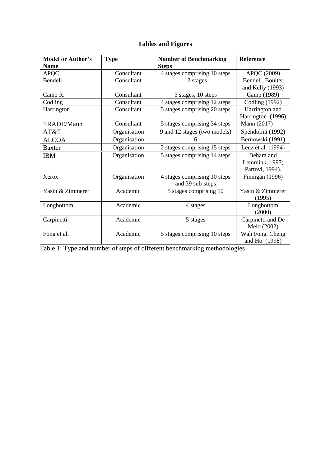# **Tables and Figures**

| <b>Model or Author's</b> | <b>Type</b>  | <b>Number of Benchmarking</b> | Reference             |
|--------------------------|--------------|-------------------------------|-----------------------|
| <b>Name</b>              |              | <b>Steps</b>                  |                       |
| <b>APQC</b>              | Consultant   | 4 stages comprising 10 steps  | APQC (2009)           |
| Bendell                  | Consultant   | 12 stages                     | Bendell, Boulter      |
|                          |              |                               | and Kelly (1993)      |
| Camp R.                  | Consultant   | 5 stages, 10 steps            | Camp (1989)           |
| Codling                  | Consultant   | 4 stages comprising 12 steps  | <b>Codling (1992)</b> |
| Harrington               | Consultant   | 5 stages comprising 20 steps  | Harrington and        |
|                          |              |                               | Harrington (1996)     |
| TRADE/Mann               | Consultant   | 5 stages comprising 34 steps  | Mann (2017)           |
| AT&T                     | Organisation | 9 and 12 stages (two models)  | Spendolini (1992)     |
| <b>ALCOA</b>             | Organisation |                               | Bernowski (1991)      |
| <b>Baxter</b>            | Organisation | 2 stages comprising 15 steps  | Lenz et al. (1994)    |
| <b>IBM</b>               | Organisation | 5 stages comprising 14 steps  | Behara and            |
|                          |              |                               | Lemmink, 1997;        |
|                          |              |                               | Partovi, 1994).       |
| Xerox                    | Organisation | 4 stages comprising 10 steps  | Finnigan (1996)       |
|                          |              | and 39 sub-steps              |                       |
| Yasin & Zimmerer         | Academic     | 5 stages comprising 10        | Yasin & Zimmerer      |
|                          |              |                               | (1995)                |
| Longbottom               | Academic     | 4 stages                      | Longbottom            |
|                          |              |                               | (2000)                |
| Carpinetti               | Academic     | 5 stages                      | Carpinetti and De     |
|                          |              |                               | Melo (2002)           |
| Fong et al.              | Academic     | 5 stages comprising 10 steps  | Wah Fong, Cheng       |
|                          |              |                               | and Ho (1998)         |

Table 1: Type and number of steps of different benchmarking methodologies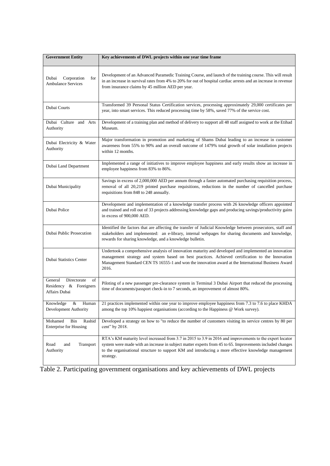| <b>Government Entity</b>                                                   | Key achievements of DWL projects within one year time frame                                                                                                                                                                                                                                                                              |  |  |
|----------------------------------------------------------------------------|------------------------------------------------------------------------------------------------------------------------------------------------------------------------------------------------------------------------------------------------------------------------------------------------------------------------------------------|--|--|
| Dubai<br>Corporation<br>for<br><b>Ambulance Services</b>                   | Development of an Advanced Paramedic Training Course, and launch of the training course. This will result<br>in an increase in survival rates from 4% to 20% for out of hospital cardiac arrests and an increase in revenue<br>from insurance claims by 45 million AED per year.                                                         |  |  |
| Dubai Courts                                                               | Transformed 39 Personal Status Certification services, processing approximately 29,000 certificates per<br>year, into smart services. This reduced processing time by 58%, saved 77% of the service cost.                                                                                                                                |  |  |
| Dubai Culture and Arts<br>Authority                                        | Development of a training plan and method of delivery to support all 48 staff assigned to work at the Etihad<br>Museum.                                                                                                                                                                                                                  |  |  |
| Dubai Electricity & Water<br>Authority                                     | Major transformation in promotion and marketing of Shams Dubai leading to an increase in customer<br>awareness from 55% to 90% and an overall outcome of 1479% total growth of solar installation projects<br>within 12 months.                                                                                                          |  |  |
| Dubai Land Department                                                      | Implemented a range of initiatives to improve employee happiness and early results show an increase in<br>employee happiness from 83% to 86%.                                                                                                                                                                                            |  |  |
| Dubai Municipality                                                         | Savings in excess of 2,000,000 AED per annum through a faster automated purchasing requisition process,<br>removal of all 20,219 printed purchase requisitions, reductions in the number of cancelled purchase<br>requisitions from 848 to 248 annually.                                                                                 |  |  |
| Dubai Police                                                               | Development and implementation of a knowledge transfer process with 26 knowledge officers appointed<br>and trained and roll out of 33 projects addressing knowledge gaps and producing savings/productivity gains<br>in excess of 900,000 AED.                                                                                           |  |  |
| Dubai Public Prosecution                                                   | Identified the factors that are affecting the transfer of Judicial Knowledge between prosecutors, staff and<br>stakeholders and implemented: an e-library, internal webpages for sharing documents and knowledge,<br>rewards for sharing knowledge, and a knowledge bulletin.                                                            |  |  |
| Dubai Statistics Center                                                    | Undertook a comprehensive analysis of innovation maturity and developed and implemented an innovation<br>management strategy and system based on best practices. Achieved certification to the Innovation<br>Management Standard CEN TS 16555-1 and won the innovation award at the International Business Award<br>2016.                |  |  |
| General<br>Directorate<br>of<br>Residency &<br>Foreigners<br>Affairs Dubai | Piloting of a new passenger pre-clearance system in Terminal 3 Dubai Airport that reduced the processing<br>time of documents/passport check-in to 7 seconds, an improvement of almost 80%.                                                                                                                                              |  |  |
| Knowledge<br>&<br>Human<br>Development Authority                           | 21 practices implemented within one year to improve employee happiness from 7.3 to 7.6 to place KHDA<br>among the top 10% happiest organisations (according to the Happiness @ Work survey).                                                                                                                                             |  |  |
| Bin<br>Rashid<br>Mohamed<br><b>Enterprise for Housing</b>                  | Developed a strategy on how to "to reduce the number of customers visiting its service centres by 80 per<br>cent" by 2018.                                                                                                                                                                                                               |  |  |
| Road<br>Transport<br>and<br>Authority                                      | RTA's KM maturity level increased from 3.7 in 2015 to 3.9 in 2016 and improvements to the expert locator<br>system were made with an increase in subject matter experts from 45 to 65. Improvements included changes<br>to the organisational structure to support KM and introducing a more effective knowledge management<br>strategy. |  |  |

Table 2. Participating government organisations and key achievements of DWL projects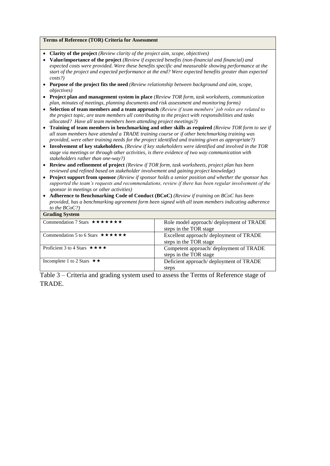# **Terms of Reference (TOR) Criteria for Assessment**

- **Clarity of the project** *(Review clarity of the project aim, scope, objectives)*
- **Value/importance of the project** *(Review if expected benefits (non-financial and financial) and expected costs were provided. Were these benefits specific and measurable showing performance at the start of the project and expected performance at the end? Were expected benefits greater than expected costs?)*
- **Purpose of the project fits the need** *(Review relationship between background and aim, scope, objectives)*
- **Project plan and management system in place** *(Review TOR form, task worksheets, communication plan, minutes of meetings, planning documents and risk assessment and monitoring forms)*
- **Selection of team members and a team approach** *(Review if team members' job roles are related to the project topic, are team members all contributing to the project with responsibilities and tasks allocated? Have all team members been attending project meetings?)*
- **Training of team members in benchmarking and other skills as required** *(Review TOR form to see if all team members have attended a TRADE training course or if other benchmarking training was provided, were other training needs for the project identified and training given as appropriate?)*
- **Involvement of key stakeholders.** *(Review if key stakeholders were identified and involved in the TOR stage via meetings or through other activities, is there evidence of two way communication with stakeholders rather than one-way?)*
- **Review and refinement of project** *(Review if TOR form, task worksheets, project plan has been reviewed and refined based on stakeholder involvement and gaining project knowledge)*
- **Project support from sponsor** *(Review if sponsor holds a senior position and whether the sponsor has supported the team's requests and recommendations, review if there has been regular involvement of the sponsor in meetings or other activities)*
- **Adherence to Benchmarking Code of Conduct (BCoC)** *(Review if training on BCoC has been provided, has a benchmarking agreement form been signed with all team members indicating adherence to the BCoC?)*

| <b>Grading System</b>                                            |                                                                   |
|------------------------------------------------------------------|-------------------------------------------------------------------|
| Commendation 7 Stars $\star \star \star \star \star \star \star$ | Role model approach/deployment of TRADE<br>steps in the TOR stage |
| Commendation 5 to 6 Stars $\star \star \star \star \star \star$  | Excellent approach/deployment of TRADE<br>steps in the TOR stage  |
| Proficient 3 to 4 Stars $\star \star \star \star$                | Competent approach/deployment of TRADE<br>steps in the TOR stage  |
| Incomplete 1 to 2 Stars $\star \star$                            | Deficient approach/deployment of TRADE<br>steps                   |

Table 3 – Criteria and grading system used to assess the Terms of Reference stage of TRADE.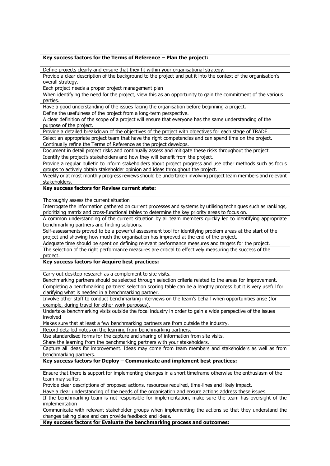#### **Key success factors for the Terms of Reference – Plan the project:**

Define projects clearly and ensure that they fit within your organisational strategy.

Provide a clear description of the background to the project and put it into the context of the organisation's overall strategy.

Each project needs a proper project management plan

When identifying the need for the project, view this as an opportunity to gain the commitment of the various parties.

Have a good understanding of the issues facing the organisation before beginning a project.

Define the usefulness of the project from a long-term perspective.

A clear definition of the scope of a project will ensure that everyone has the same understanding of the purpose of the project.

Provide a detailed breakdown of the objectives of the project with objectives for each stage of TRADE.

Select an appropriate project team that have the right competencies and can spend time on the project. Continually refine the Terms of Reference as the project develops.

Document in detail project risks and continually assess and mitigate these risks throughout the project.

Identify the project's stakeholders and how they will benefit from the project.

Provide a regular bulletin to inform stakeholders about project progress and use other methods such as focus groups to actively obtain stakeholder opinion and ideas throughout the project.

Weekly or at most monthly progress reviews should be undertaken involving project team members and relevant stakeholders.

#### **Key success factors for Review current state:**

Thoroughly assess the current situation

Interrogate the information gathered on current processes and systems by utilising techniques such as rankings, prioritizing matrix and cross-functional tables to determine the key priority areas to focus on.

A common understanding of the current situation by all team members quickly led to identifying appropriate benchmarking partners and finding solutions.

Self-assessments proved to be a powerful assessment tool for identifying problem areas at the start of the project and showing how much the organisation has improved at the end of the project.

Adequate time should be spent on defining relevant performance measures and targets for the project. The selection of the right performance measures are critical to effectively measuring the success of the project.

#### **Key success factors for Acquire best practices:**

Carry out desktop research as a complement to site visits.

Benchmarking partners should be selected through selection criteria related to the areas for improvement. Completing a benchmarking partners' selection scoring table can be a lengthy process but it is very useful for clarifying what is needed in a benchmarking partner.

Involve other staff to conduct benchmarking interviews on the team's behalf when opportunities arise (for example, during travel for other work purposes).

Undertake benchmarking visits outside the focal industry in order to gain a wide perspective of the issues involved

Makes sure that at least a few benchmarking partners are from outside the industry.

Record detailed notes on the learning from benchmarking partners.

Use standardised forms for the capture and sharing of information from site visits.

Share the learning from the benchmarking partners with your stakeholders.

Capture all ideas for improvement. Ideas may come from team members and stakeholders as well as from benchmarking partners.

**Key success factors for Deploy – Communicate and implement best practices:**

Ensure that there is support for implementing changes in a short timeframe otherwise the enthusiasm of the team may suffer.

Provide clear descriptions of proposed actions, resources required, time-lines and likely impact.

Have a clear understanding of the needs of the organisation and ensure actions address these issues.

If the benchmarking team is not responsible for implementation, make sure the team has oversight of the implementation

Communicate with relevant stakeholder groups when implementing the actions so that they understand the changes taking place and can provide feedback and ideas.

**Key success factors for Evaluate the benchmarking process and outcomes:**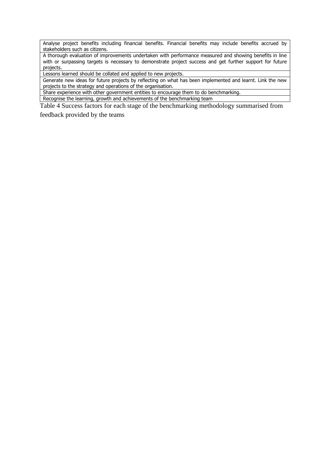Analyse project benefits including financial benefits. Financial benefits may include benefits accrued by stakeholders such as citizens.

A thorough evaluation of improvements undertaken with performance measured and showing benefits in line with or surpassing targets is necessary to demonstrate project success and get further support for future projects.

Lessons learned should be collated and applied to new projects.

Generate new ideas for future projects by reflecting on what has been implemented and learnt. Link the new projects to the strategy and operations of the organisation.

Share experience with other government entities to encourage them to do benchmarking.

Recognise the learning, growth and achievements of the benchmarking team

Table 4 Success factors for each stage of the benchmarking methodology summarised from

feedback provided by the teams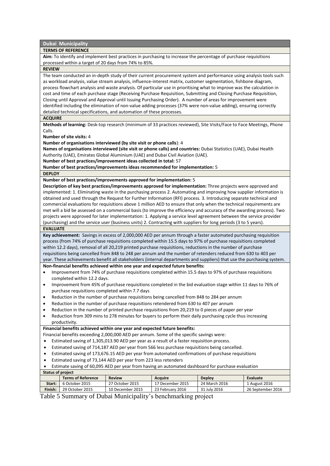#### **Dubai Municipality**

#### **TERMS OF REFERENCE**

**Aim:** To identify and implement best practices in purchasing to increase the percentage of purchase requisitions processed within a target of 20 days from 74% to 85%.

#### **REVIEW**

The team conducted an in-depth study of their current procurement system and performance using analysis tools such as workload analysis, value stream analysis, influence-interest matrix, customer segmentation, fishbone diagram, process flowchart analysis and waste analysis. Of particular use in prioritising what to improve was the calculation in cost and time of each purchase stage (Receiving Purchase Requisition, Submitting and Closing Purchase Requisition, Closing until Approval and Approval until Issuing Purchasing Order). A number of areas for improvement were identified including the elimination of non-value adding processes (37% were non-value adding), ensuring correctly detailed technical specifications, and automation of these processes.

#### **ACQUIRE**

**Methods of learning:** Desk-top research (minimum of 33 practices reviewed), Site Visits/Face to Face Meetings, Phone Calls.

**Number of site visits:** 4

**Number of organisations interviewed (by site visit or phone calls**): 4

**Names of organisations interviewed (site visit or phone calls) and countries:** Dubai Statistics (UAE), Dubai Health Authority (UAE), Emirates Global Aluminium (UAE) and Dubai Civil Aviation (UAE).

**Number of best practices/improvement ideas collected in total:** 57

**Number of best practices/improvements ideas recommended for implementation:** 5

**DEPLOY**

**Number of best practices/improvements approved for implementation:** 5

**Description of key best practices/improvements approved for implementation:** Three projects were approved and implemented: 1. Eliminating waste in the purchasing process 2. Automating and improving how supplier information is obtained and used through the Request for Further Information (RFI) process. 3. Introducing separate technical and commercial evaluations for requisitions above 1 million AED to ensure that only when the technical requirements are met will a bid be assessed on a commercial basis (to improve the efficiency and accuracy of the awarding process). Two projects were approved for later implementation: 1. Applying a service level agreement between the service provider (purchasing) and the service user (business units) 2. Contracting with suppliers for long periods (3 to 5 years).

#### **EVALUATE**

**Key achievement:** Savings in excess of 2,000,000 AED per annum through a faster automated purchasing requisition process (from 74% of purchase requisitions completed within 15.5 days to 97% of purchase requisitions completed within 12.2 days), removal of all 20,219 printed purchase requisitions, reductions in the number of purchase requisitions being cancelled from 848 to 248 per annum and the number of retenders reduced from 630 to 403 per year. These achievements benefit all stakeholders (internal departments and suppliers) that use the purchasing system.

#### **Non-financial benefits achieved within one year and expected future benefits:**

- Improvement from 74% of purchase requisitions completed within 15.5 days to 97% of purchase requisitions completed within 12.2 days.
- Improvement from 45% of purchase requisitions completed in the bid evaluation stage within 11 days to 76% of purchase requisitions completed within 7.7 days
- Reduction in the number of purchase requisitions being cancelled from 848 to 284 per annum
- Reduction in the number of purchase requisitions retendered from 630 to 407 per annum
- Reduction in the number of printed purchase requisitions from 20,219 to 0 pieces of paper per year
- Reduction from 309 mins to 278 minutes for buyers to perform their daily purchasing cycle thus increasing productivity.

#### **Financial benefits achieved within one year and expected future benefits:**

- Financial benefits exceeding 2,000,000 AED per annum. Some of the specific savings were:
- Estimated saving of 1,305,013.90 AED per year as a result of a faster requisition process.
- Estimated saving of 714,187 AED per year from 566 less purchase requisitions being cancelled.
- Estimated saving of 173,676.15 AED per year from automated confirmations of purchase requisitions
- Estimated saving of 73,144 AED per year from 223 less retenders
- Estimate saving of 60,095 AED per year from having an automated dashboard for purchase evaluation

| <b>Status of project</b> |                           |                  |                  |               |                   |  |  |
|--------------------------|---------------------------|------------------|------------------|---------------|-------------------|--|--|
|                          | <b>Terms of Reference</b> | <b>Review</b>    | <b>Acquire</b>   | <b>Deploy</b> | Evaluate          |  |  |
| Start:                   | 6 October 2015            | 27 October 2015  | 17 December 2015 | 24 March 2016 | 1 August 2016     |  |  |
| Finish:                  | 29 October 2015           | 10 December 2015 | 23 February 2016 | 31 July 2016  | 26 September 2016 |  |  |
|                          |                           |                  |                  |               |                   |  |  |

Table 5 Summary of Dubai Municipality's benchmarking project